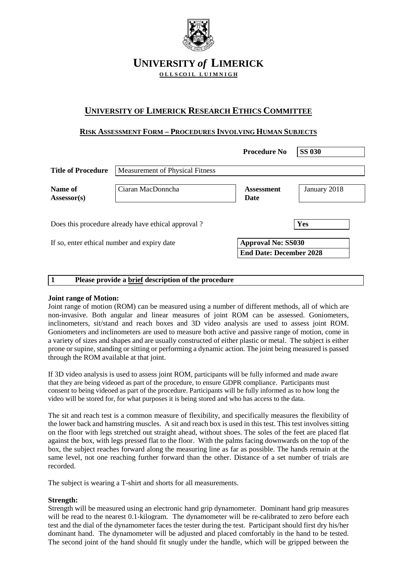

# **UNIVERSITY** *of* **LIMERICK OLLS COIL LUIMNIGH**

# **UNIVERSITY OF LIMERICK RESEARCH ETHICS COMMITTEE**

# **RISK ASSESSMENT FORM – PROCEDURES INVOLVING HUMAN SUBJECTS**

|                           |                                                    | <b>Procedure No</b>              | <b>SS 030</b> |
|---------------------------|----------------------------------------------------|----------------------------------|---------------|
| <b>Title of Procedure</b> | <b>Measurement of Physical Fitness</b>             |                                  |               |
| Name of<br>$Assessor(s)$  | Ciaran MacDonncha                                  | <b>Assessment</b><br><b>Date</b> | January 2018  |
|                           |                                                    |                                  |               |
|                           | Does this procedure already have ethical approval? |                                  | Yes           |
|                           | If so, enter ethical number and expiry date        | <b>Approval No: SS030</b>        |               |

# **1 Please provide a brief description of the procedure**

# **Joint range of Motion:**

Joint range of motion (ROM) can be measured using a number of different methods, all of which are non-invasive. Both angular and linear measures of joint ROM can be assessed. Goniometers, inclinometers, sit/stand and reach boxes and 3D video analysis are used to assess joint ROM. Goniometers and inclinometers are used to measure both active and passive range of motion, come in a variety of sizes and shapes and are usually constructed of either plastic or metal. The subject is either prone or supine, standing or sitting or performing a dynamic action. The joint being measured is passed through the ROM available at that joint.

If 3D video analysis is used to assess joint ROM, participants will be fully informed and made aware that they are being videoed as part of the procedure, to ensure GDPR compliance. Participants must consent to being videoed as part of the procedure. Participants will be fully informed as to how long the video will be stored for, for what purposes it is being stored and who has access to the data.

The sit and reach test is a common measure of flexibility, and specifically measures the flexibility of the lower back and hamstring muscles. A sit and reach box is used in this test. This test involves sitting on the floor with legs stretched out straight ahead, without shoes. The soles of the feet are placed flat against the box, with legs pressed flat to the floor. With the palms facing downwards on the top of the box, the subject reaches forward along the measuring line as far as possible. The hands remain at the same level, not one reaching further forward than the other. Distance of a set number of trials are recorded.

The subject is wearing a T-shirt and shorts for all measurements.

# **Strength:**

Strength will be measured using an electronic hand grip dynamometer. Dominant hand grip measures will be read to the nearest 0.1-kilogram. The dynamometer will be re-calibrated to zero before each test and the dial of the dynamometer faces the tester during the test. Participant should first dry his/her dominant hand. The dynamometer will be adjusted and placed comfortably in the hand to be tested. The second joint of the hand should fit snugly under the handle, which will be gripped between the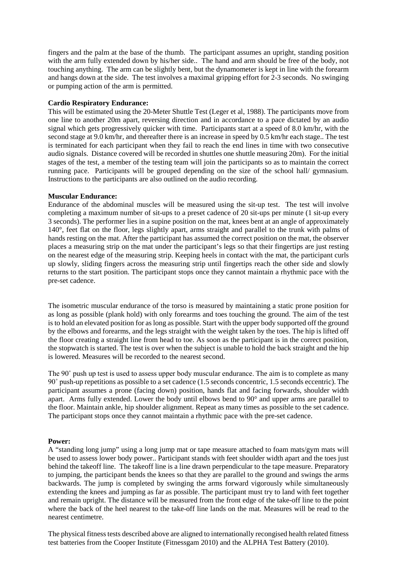fingers and the palm at the base of the thumb. The participant assumes an upright, standing position with the arm fully extended down by his/her side.. The hand and arm should be free of the body, not touching anything. The arm can be slightly bent, but the dynamometer is kept in line with the forearm and hangs down at the side. The test involves a maximal gripping effort for 2-3 seconds. No swinging or pumping action of the arm is permitted.

#### **Cardio Respiratory Endurance:**

This will be estimated using the 20-Meter Shuttle Test (Leger et al, 1988). The participants move from one line to another 20m apart, reversing direction and in accordance to a pace dictated by an audio signal which gets progressively quicker with time. Participants start at a speed of 8.0 km/hr, with the second stage at 9.0 km/hr, and thereafter there is an increase in speed by 0.5 km/hr each stage.. The test is terminated for each participant when they fail to reach the end lines in time with two consecutive audio signals. Distance covered will be recorded in shuttles one shuttle measuring 20m). For the initial stages of the test, a member of the testing team will join the participants so as to maintain the correct running pace. Participants will be grouped depending on the size of the school hall/ gymnasium. Instructions to the participants are also outlined on the audio recording.

#### **Muscular Endurance:**

Endurance of the abdominal muscles will be measured using the sit-up test. The test will involve completing a maximum number of sit-ups to a preset cadence of 20 sit-ups per minute (1 sit-up every 3 seconds). The performer lies in a supine position on the mat, knees bent at an angle of approximately 140°, feet flat on the floor, legs slightly apart, arms straight and parallel to the trunk with palms of hands resting on the mat. After the participant has assumed the correct position on the mat, the observer places a measuring strip on the mat under the participant's legs so that their fingertips are just resting on the nearest edge of the measuring strip. Keeping heels in contact with the mat, the participant curls up slowly, sliding fingers across the measuring strip until fingertips reach the other side and slowly returns to the start position. The participant stops once they cannot maintain a rhythmic pace with the pre-set cadence.

The isometric muscular endurance of the torso is measured by maintaining a static prone position for as long as possible (plank hold) with only forearms and toes touching the ground. The aim of the test is to hold an elevated position for as long as possible. Start with the upper body supported off the ground by the elbows and forearms, and the legs straight with the weight taken by the toes. The hip is lifted off the floor creating a straight line from head to toe. As soon as the participant is in the correct position, the stopwatch is started. The test is over when the subject is unable to hold the back straight and the hip is lowered. Measures will be recorded to the nearest second.

The 90° push up test is used to assess upper body muscular endurance. The aim is to complete as many 90˚ push-up repetitions as possible to a set cadence (1.5 seconds concentric, 1.5 seconds eccentric). The participant assumes a prone (facing down) position, hands flat and facing forwards, shoulder width apart. Arms fully extended. Lower the body until elbows bend to 90° and upper arms are parallel to the floor. Maintain ankle, hip shoulder alignment. Repeat as many times as possible to the set cadence. The participant stops once they cannot maintain a rhythmic pace with the pre-set cadence.

# **Power:**

A "standing long jump" using a long jump mat or tape measure attached to foam mats/gym mats will be used to assess lower body power.. Participant stands with feet shoulder width apart and the toes just behind the takeoff line. The takeoff line is a line drawn perpendicular to the tape measure. Preparatory to jumping, the participant bends the knees so that they are parallel to the ground and swings the arms backwards. The jump is completed by swinging the arms forward vigorously while simultaneously extending the knees and jumping as far as possible. The participant must try to land with feet together and remain upright. The distance will be measured from the front edge of the take-off line to the point where the back of the heel nearest to the take-off line lands on the mat. Measures will be read to the nearest centimetre.

The physical fitness tests described above are aligned to internationally recongised health related fitness test batteries from the Cooper Institute (Fitnessgam 2010) and the ALPHA Test Battery (2010).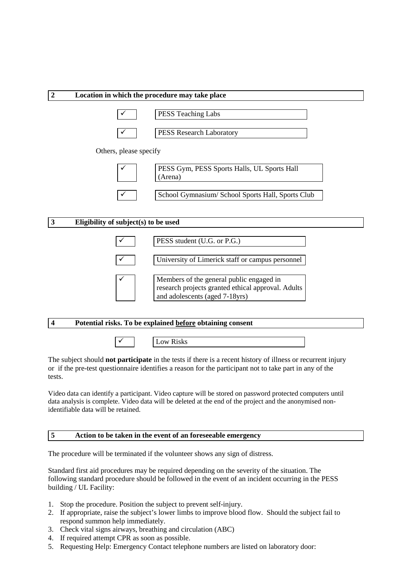

 $\checkmark$  | Low Risks

The subject should **not participate** in the tests if there is a recent history of illness or recurrent injury or if the pre-test questionnaire identifies a reason for the participant not to take part in any of the tests.

Video data can identify a participant. Video capture will be stored on password protected computers until data analysis is complete. Video data will be deleted at the end of the project and the anonymised nonidentifiable data will be retained.

# **5 Action to be taken in the event of an foreseeable emergency**

The procedure will be terminated if the volunteer shows any sign of distress.

Standard first aid procedures may be required depending on the severity of the situation. The following standard procedure should be followed in the event of an incident occurring in the PESS building / UL Facility:

- 1. Stop the procedure. Position the subject to prevent self-injury.
- 2. If appropriate, raise the subject's lower limbs to improve blood flow. Should the subject fail to respond summon help immediately.
- 3. Check vital signs airways, breathing and circulation (ABC)
- 4. If required attempt CPR as soon as possible.
- 5. Requesting Help: Emergency Contact telephone numbers are listed on laboratory door: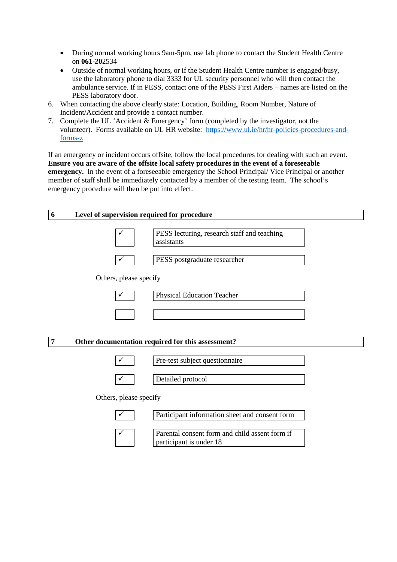- During normal working hours 9am-5pm, use lab phone to contact the Student Health Centre on **061-20**2534
- Outside of normal working hours, or if the Student Health Centre number is engaged/busy, use the laboratory phone to dial 3333 for UL security personnel who will then contact the ambulance service. If in PESS, contact one of the PESS First Aiders – names are listed on the PESS laboratory door.
- 6. When contacting the above clearly state: Location, Building, Room Number, Nature of Incident/Accident and provide a contact number.
- 7. Complete the UL 'Accident & Emergency' form (completed by the investigator, not the volunteer). Forms available on UL HR website: [https://www.ul.ie/hr/hr-policies-procedures-and](https://www.ul.ie/hr/hr-policies-procedures-and-forms-z)[forms-z](https://www.ul.ie/hr/hr-policies-procedures-and-forms-z)

If an emergency or incident occurs offsite, follow the local procedures for dealing with such an event. **Ensure you are aware of the offsite local safety procedures in the event of a foreseeable emergency.** In the event of a foreseeable emergency the School Principal/ Vice Principal or another member of staff shall be immediately contacted by a member of the testing team. The school's emergency procedure will then be put into effect.